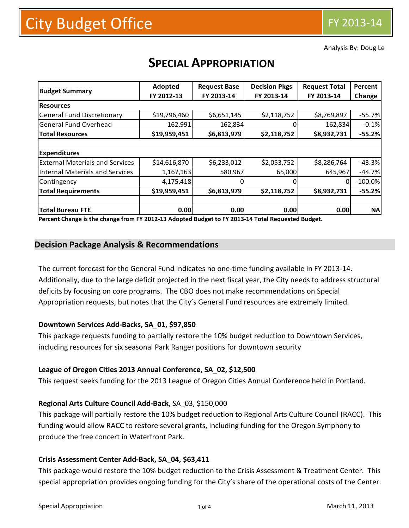Analysis By: Doug Le

| <b>Budget Summary</b>                  | Adopted      | <b>Request Base</b> | <b>Decision Pkgs</b> | <b>Request Total</b> | Percent   |
|----------------------------------------|--------------|---------------------|----------------------|----------------------|-----------|
|                                        | FY 2012-13   | FY 2013-14          | FY 2013-14           | FY 2013-14           | Change    |
| <b>Resources</b>                       |              |                     |                      |                      |           |
| <b>General Fund Discretionary</b>      | \$19,796,460 | \$6,651,145         | \$2,118,752          | \$8,769,897          | $-55.7%$  |
| <b>General Fund Overhead</b>           | 162,991      | 162,834             |                      | 162,834              | $-0.1%$   |
| <b>Total Resources</b>                 | \$19,959,451 | \$6,813,979         | \$2,118,752          | \$8,932,731          | $-55.2%$  |
|                                        |              |                     |                      |                      |           |
| <b>Expenditures</b>                    |              |                     |                      |                      |           |
| <b>External Materials and Services</b> | \$14,616,870 | \$6,233,012         | \$2,053,752          | \$8,286,764          | $-43.3%$  |
| Internal Materials and Services        | 1,167,163    | 580,967             | 65,000               | 645,967              | $-44.7%$  |
| Contingency                            | 4,175,418    | $\Omega$            |                      | 0                    | $-100.0%$ |
| <b>Total Requirements</b>              | \$19,959,451 | \$6,813,979         | \$2,118,752          | \$8,932,731          | $-55.2%$  |
|                                        |              |                     |                      |                      |           |
| <b>Total Bureau FTE</b>                | 0.00         | 0.00                | 0.00                 | 0.00                 | <b>NA</b> |

# **SPECIAL APPROPRIATION**

Percent Change is the change from FY 2012-13 Adopted Budget to FY 2013-14 Total Requested Budget.

# **Decision Package Analysis & Recommendations**

The current forecast for the General Fund indicates no one‐time funding available in FY 2013‐14. Additionally, due to the large deficit projected in the next fiscal year, the City needs to address structural deficits by focusing on core programs. The CBO does not make recommendations on Special Appropriation requests, but notes that the City's General Fund resources are extremely limited.

#### **Downtown Services Add‐Backs, SA\_01, \$97,850**

This package requests funding to partially restore the 10% budget reduction to Downtown Services, including resources for six seasonal Park Ranger positions for downtown security

#### **League of Oregon Cities 2013 Annual Conference, SA\_02, \$12,500**

This request seeks funding for the 2013 League of Oregon Cities Annual Conference held in Portland.

#### **Regional Arts Culture Council Add‐Back**, SA\_03, \$150,000

This package will partially restore the 10% budget reduction to Regional Arts Culture Council (RACC). This funding would allow RACC to restore several grants, including funding for the Oregon Symphony to produce the free concert in Waterfront Park.

#### **Crisis Assessment Center Add‐Back, SA\_04, \$63,411**

This package would restore the 10% budget reduction to the Crisis Assessment & Treatment Center. This special appropriation provides ongoing funding for the City's share of the operational costs of the Center.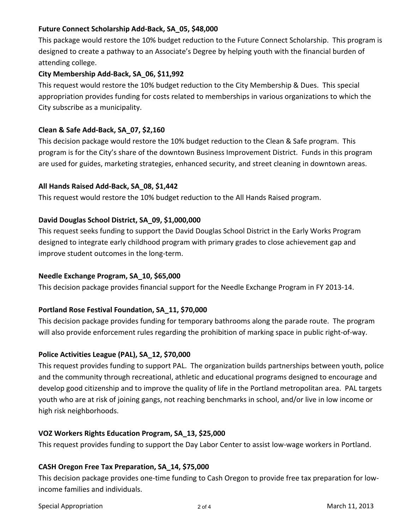# **Future Connect Scholarship Add‐Back, SA\_05, \$48,000**

This package would restore the 10% budget reduction to the Future Connect Scholarship. This program is designed to create a pathway to an Associate's Degree by helping youth with the financial burden of attending college.

#### **City Membership Add‐Back, SA\_06, \$11,992**

This request would restore the 10% budget reduction to the City Membership & Dues. This special appropriation provides funding for costs related to memberships in various organizations to which the City subscribe as a municipality.

#### **Clean & Safe Add‐Back, SA\_07, \$2,160**

This decision package would restore the 10% budget reduction to the Clean & Safe program. This program is for the City's share of the downtown Business Improvement District. Funds in this program are used for guides, marketing strategies, enhanced security, and street cleaning in downtown areas.

#### **All Hands Raised Add‐Back, SA\_08, \$1,442**

This request would restore the 10% budget reduction to the All Hands Raised program.

## **David Douglas School District, SA\_09, \$1,000,000**

This request seeks funding to support the David Douglas School District in the Early Works Program designed to integrate early childhood program with primary grades to close achievement gap and improve student outcomes in the long‐term.

#### **Needle Exchange Program, SA\_10, \$65,000**

This decision package provides financial support for the Needle Exchange Program in FY 2013‐14.

#### **Portland Rose Festival Foundation, SA\_11, \$70,000**

This decision package provides funding for temporary bathrooms along the parade route. The program will also provide enforcement rules regarding the prohibition of marking space in public right‐of‐way.

#### **Police Activities League (PAL), SA\_12, \$70,000**

This request provides funding to support PAL. The organization builds partnerships between youth, police and the community through recreational, athletic and educational programs designed to encourage and develop good citizenship and to improve the quality of life in the Portland metropolitan area. PAL targets youth who are at risk of joining gangs, not reaching benchmarks in school, and/or live in low income or high risk neighborhoods.

#### **VOZ Workers Rights Education Program, SA\_13, \$25,000**

This request provides funding to support the Day Labor Center to assist low-wage workers in Portland.

#### **CASH Oregon Free Tax Preparation, SA\_14, \$75,000**

This decision package provides one‐time funding to Cash Oregon to provide free tax preparation for low‐ income families and individuals.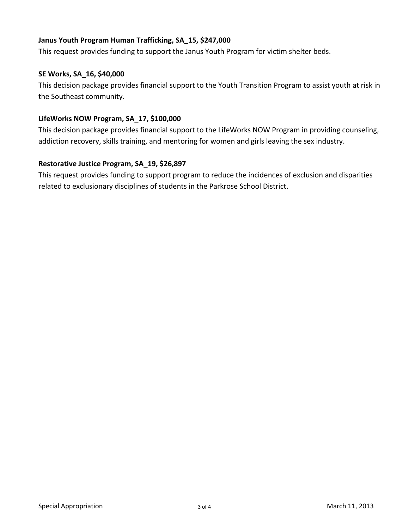# **Janus Youth Program Human Trafficking, SA\_15, \$247,000**

This request provides funding to support the Janus Youth Program for victim shelter beds.

#### **SE Works, SA\_16, \$40,000**

This decision package provides financial support to the Youth Transition Program to assist youth at risk in the Southeast community.

#### **LifeWorks NOW Program, SA\_17, \$100,000**

This decision package provides financial support to the LifeWorks NOW Program in providing counseling, addiction recovery, skills training, and mentoring for women and girls leaving the sex industry.

## **Restorative Justice Program, SA\_19, \$26,897**

This request provides funding to support program to reduce the incidences of exclusion and disparities related to exclusionary disciplines of students in the Parkrose School District.